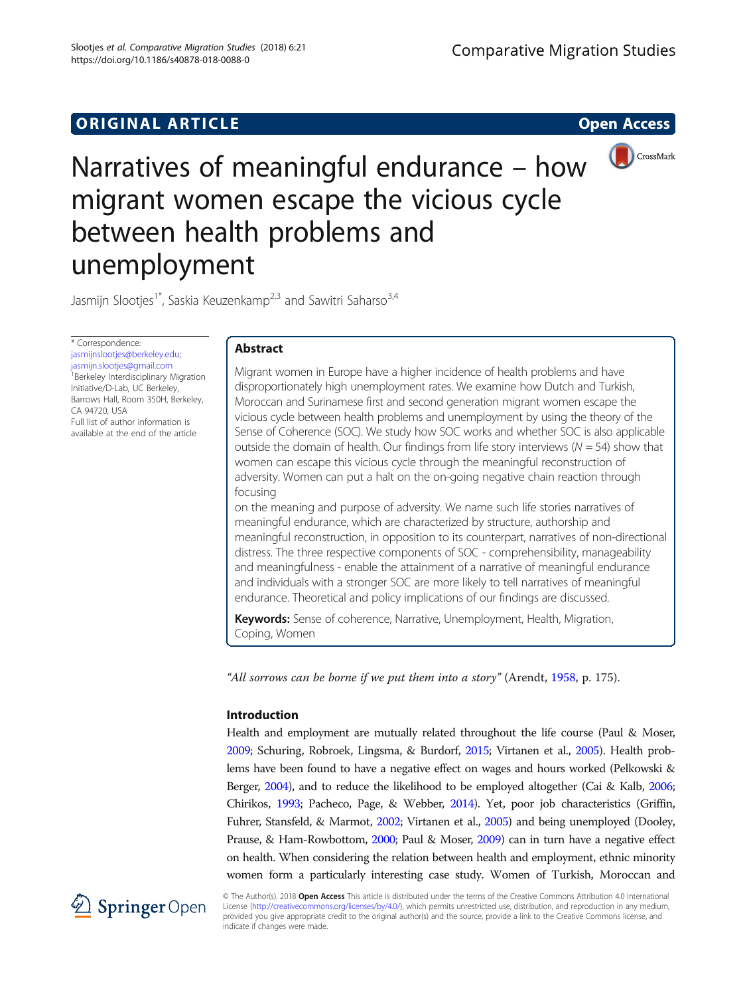# **ORIGINAL ARTICLE CONSERVANCE CONSERVANCE CONSERVANCE CONSERVANCE CONSERVANCE CONSERVANCE CONSERVANCE CONSERVANCE**



Narratives of meaningful endurance – how migrant women escape the vicious cycle between health problems and unemployment

Jasmijn Slootjes<sup>1\*</sup>, Saskia Keuzenkamp<sup>2,3</sup> and Sawitri Saharso<sup>3,4</sup>

\* Correspondence: [jasmijnslootjes@berkeley.edu](mailto:jasmijnslootjes@berkeley.edu); [jasmijn.slootjes@gmail.com](mailto:jasmijn.slootjes@gmail.com) 1Berkeley Interdisciplinary Migration Initiative/D-Lab, UC Berkeley, Barrows Hall, Room 350H, Berkeley, CA 94720, USA Full list of author information is available at the end of the article

## Abstract

Migrant women in Europe have a higher incidence of health problems and have disproportionately high unemployment rates. We examine how Dutch and Turkish, Moroccan and Surinamese first and second generation migrant women escape the vicious cycle between health problems and unemployment by using the theory of the Sense of Coherence (SOC). We study how SOC works and whether SOC is also applicable outside the domain of health. Our findings from life story interviews ( $N = 54$ ) show that women can escape this vicious cycle through the meaningful reconstruction of adversity. Women can put a halt on the on-going negative chain reaction through focusing

on the meaning and purpose of adversity. We name such life stories narratives of meaningful endurance, which are characterized by structure, authorship and meaningful reconstruction, in opposition to its counterpart, narratives of non-directional distress. The three respective components of SOC - comprehensibility, manageability and meaningfulness - enable the attainment of a narrative of meaningful endurance and individuals with a stronger SOC are more likely to tell narratives of meaningful endurance. Theoretical and policy implications of our findings are discussed.

Keywords: Sense of coherence, Narrative, Unemployment, Health, Migration, Coping, Women

"All sorrows can be borne if we put them into a story" (Arendt, [1958](#page-14-0), p. 175).

## Introduction

Health and employment are mutually related throughout the life course (Paul & Moser, [2009;](#page-15-0) Schuring, Robroek, Lingsma, & Burdorf, [2015](#page-15-0); Virtanen et al., [2005\)](#page-15-0). Health problems have been found to have a negative effect on wages and hours worked (Pelkowski & Berger, [2004\)](#page-15-0), and to reduce the likelihood to be employed altogether (Cai & Kalb, [2006](#page-14-0); Chirikos, [1993](#page-14-0); Pacheco, Page, & Webber, [2014](#page-15-0)). Yet, poor job characteristics (Griffin, Fuhrer, Stansfeld, & Marmot, [2002](#page-14-0); Virtanen et al., [2005](#page-15-0)) and being unemployed (Dooley, Prause, & Ham-Rowbottom, [2000](#page-14-0); Paul & Moser, [2009\)](#page-15-0) can in turn have a negative effect on health. When considering the relation between health and employment, ethnic minority women form a particularly interesting case study. Women of Turkish, Moroccan and



© The Author(s). 2018 Open Access This article is distributed under the terms of the Creative Commons Attribution 4.0 International License [\(http://creativecommons.org/licenses/by/4.0/](http://creativecommons.org/licenses/by/4.0/)), which permits unrestricted use, distribution, and reproduction in any medium, provided you give appropriate credit to the original author(s) and the source, provide a link to the Creative Commons license, and indicate if changes were made.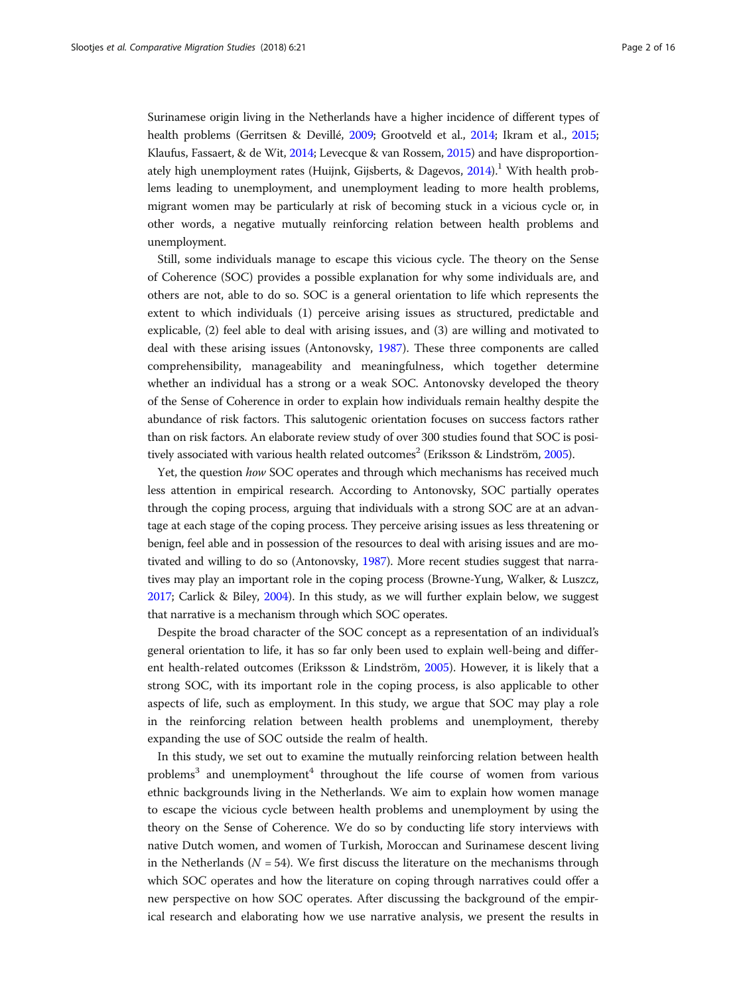Surinamese origin living in the Netherlands have a higher incidence of different types of health problems (Gerritsen & Devillé, [2009;](#page-14-0) Grootveld et al., [2014;](#page-14-0) Ikram et al., [2015](#page-14-0); Klaufus, Fassaert, & de Wit, [2014](#page-14-0); Levecque & van Rossem, [2015\)](#page-14-0) and have disproportionately high unemployment rates (Huijnk, Gijsberts, & Dagevos,  $2014$ ).<sup>1</sup> With health problems leading to unemployment, and unemployment leading to more health problems, migrant women may be particularly at risk of becoming stuck in a vicious cycle or, in other words, a negative mutually reinforcing relation between health problems and unemployment.

Still, some individuals manage to escape this vicious cycle. The theory on the Sense of Coherence (SOC) provides a possible explanation for why some individuals are, and others are not, able to do so. SOC is a general orientation to life which represents the extent to which individuals (1) perceive arising issues as structured, predictable and explicable, (2) feel able to deal with arising issues, and (3) are willing and motivated to deal with these arising issues (Antonovsky, [1987\)](#page-14-0). These three components are called comprehensibility, manageability and meaningfulness, which together determine whether an individual has a strong or a weak SOC. Antonovsky developed the theory of the Sense of Coherence in order to explain how individuals remain healthy despite the abundance of risk factors. This salutogenic orientation focuses on success factors rather than on risk factors. An elaborate review study of over 300 studies found that SOC is posi-tively associated with various health related outcomes<sup>2</sup> (Eriksson & Lindström, [2005](#page-14-0)).

Yet, the question how SOC operates and through which mechanisms has received much less attention in empirical research. According to Antonovsky, SOC partially operates through the coping process, arguing that individuals with a strong SOC are at an advantage at each stage of the coping process. They perceive arising issues as less threatening or benign, feel able and in possession of the resources to deal with arising issues and are motivated and willing to do so (Antonovsky, [1987](#page-14-0)). More recent studies suggest that narratives may play an important role in the coping process (Browne-Yung, Walker, & Luszcz, [2017;](#page-14-0) Carlick & Biley, [2004\)](#page-14-0). In this study, as we will further explain below, we suggest that narrative is a mechanism through which SOC operates.

Despite the broad character of the SOC concept as a representation of an individual's general orientation to life, it has so far only been used to explain well-being and different health-related outcomes (Eriksson & Lindström, [2005](#page-14-0)). However, it is likely that a strong SOC, with its important role in the coping process, is also applicable to other aspects of life, such as employment. In this study, we argue that SOC may play a role in the reinforcing relation between health problems and unemployment, thereby expanding the use of SOC outside the realm of health.

In this study, we set out to examine the mutually reinforcing relation between health problems<sup>3</sup> and unemployment<sup>4</sup> throughout the life course of women from various ethnic backgrounds living in the Netherlands. We aim to explain how women manage to escape the vicious cycle between health problems and unemployment by using the theory on the Sense of Coherence. We do so by conducting life story interviews with native Dutch women, and women of Turkish, Moroccan and Surinamese descent living in the Netherlands ( $N = 54$ ). We first discuss the literature on the mechanisms through which SOC operates and how the literature on coping through narratives could offer a new perspective on how SOC operates. After discussing the background of the empirical research and elaborating how we use narrative analysis, we present the results in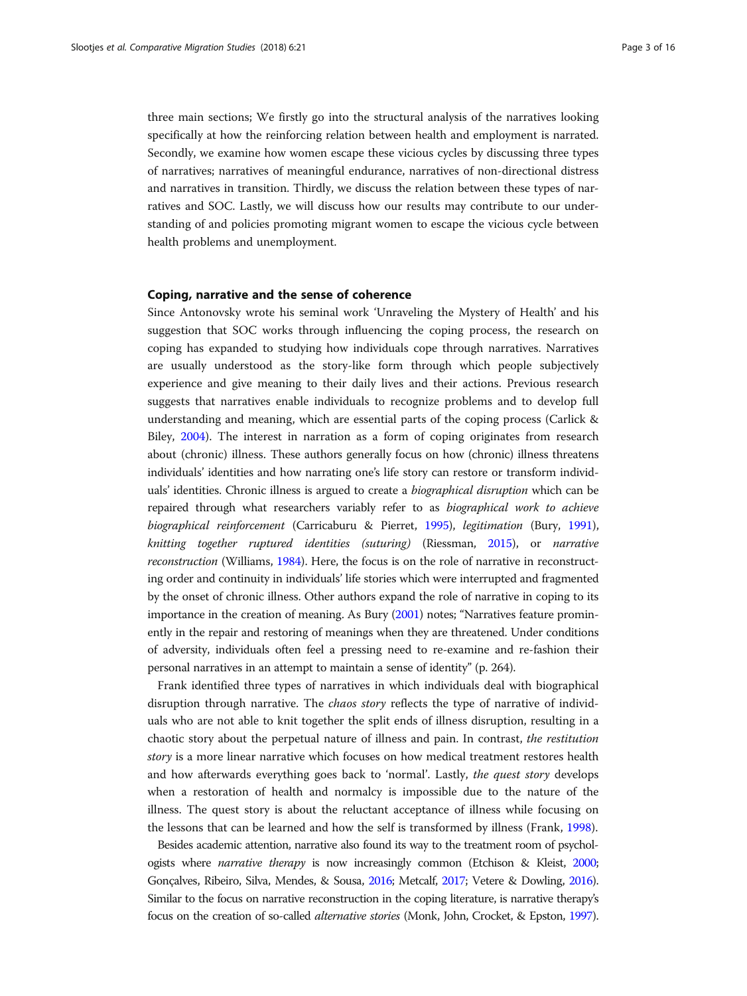three main sections; We firstly go into the structural analysis of the narratives looking specifically at how the reinforcing relation between health and employment is narrated. Secondly, we examine how women escape these vicious cycles by discussing three types of narratives; narratives of meaningful endurance, narratives of non-directional distress and narratives in transition. Thirdly, we discuss the relation between these types of narratives and SOC. Lastly, we will discuss how our results may contribute to our understanding of and policies promoting migrant women to escape the vicious cycle between health problems and unemployment.

### Coping, narrative and the sense of coherence

Since Antonovsky wrote his seminal work 'Unraveling the Mystery of Health' and his suggestion that SOC works through influencing the coping process, the research on coping has expanded to studying how individuals cope through narratives. Narratives are usually understood as the story-like form through which people subjectively experience and give meaning to their daily lives and their actions. Previous research suggests that narratives enable individuals to recognize problems and to develop full understanding and meaning, which are essential parts of the coping process (Carlick & Biley, [2004\)](#page-14-0). The interest in narration as a form of coping originates from research about (chronic) illness. These authors generally focus on how (chronic) illness threatens individuals' identities and how narrating one's life story can restore or transform individuals' identities. Chronic illness is argued to create a biographical disruption which can be repaired through what researchers variably refer to as biographical work to achieve biographical reinforcement (Carricaburu & Pierret, [1995\)](#page-14-0), legitimation (Bury, [1991](#page-14-0)), knitting together ruptured identities (suturing) (Riessman, [2015](#page-15-0)), or narrative reconstruction (Williams, [1984\)](#page-15-0). Here, the focus is on the role of narrative in reconstructing order and continuity in individuals' life stories which were interrupted and fragmented by the onset of chronic illness. Other authors expand the role of narrative in coping to its importance in the creation of meaning. As Bury [\(2001\)](#page-14-0) notes; "Narratives feature prominently in the repair and restoring of meanings when they are threatened. Under conditions of adversity, individuals often feel a pressing need to re-examine and re-fashion their personal narratives in an attempt to maintain a sense of identity" (p. 264).

Frank identified three types of narratives in which individuals deal with biographical disruption through narrative. The *chaos story* reflects the type of narrative of individuals who are not able to knit together the split ends of illness disruption, resulting in a chaotic story about the perpetual nature of illness and pain. In contrast, the restitution story is a more linear narrative which focuses on how medical treatment restores health and how afterwards everything goes back to 'normal'. Lastly, the quest story develops when a restoration of health and normalcy is impossible due to the nature of the illness. The quest story is about the reluctant acceptance of illness while focusing on the lessons that can be learned and how the self is transformed by illness (Frank, [1998\)](#page-14-0).

Besides academic attention, narrative also found its way to the treatment room of psychologists where narrative therapy is now increasingly common (Etchison & Kleist, [2000](#page-14-0); Gonçalves, Ribeiro, Silva, Mendes, & Sousa, [2016;](#page-14-0) Metcalf, [2017](#page-15-0); Vetere & Dowling, [2016\)](#page-15-0). Similar to the focus on narrative reconstruction in the coping literature, is narrative therapy's focus on the creation of so-called alternative stories (Monk, John, Crocket, & Epston, [1997\)](#page-15-0).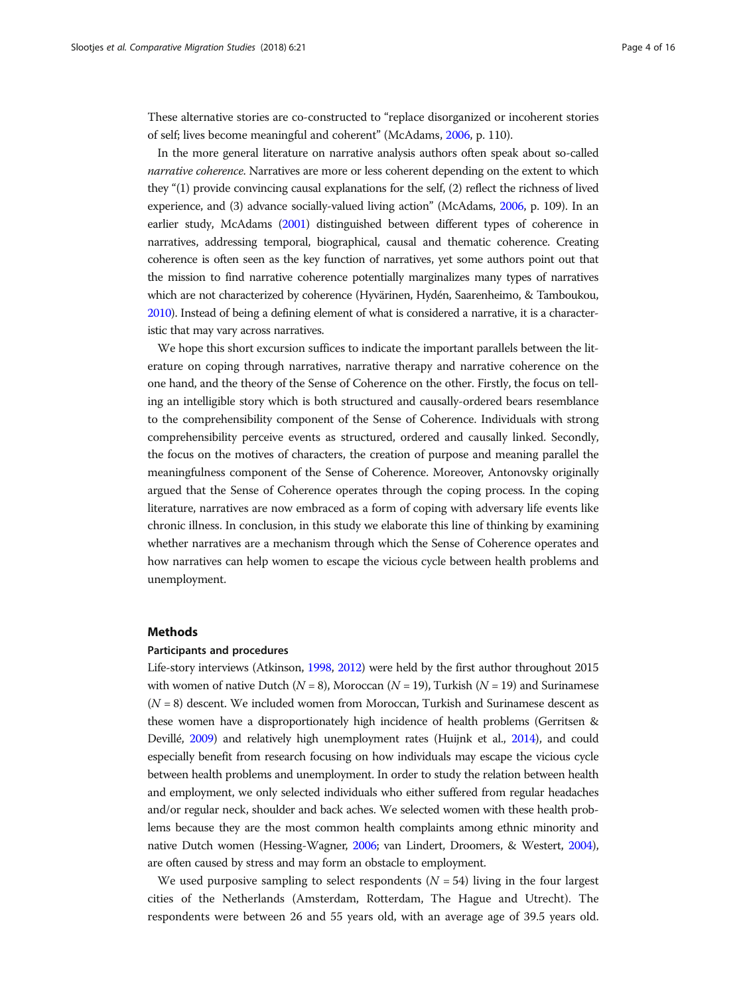These alternative stories are co-constructed to "replace disorganized or incoherent stories of self; lives become meaningful and coherent" (McAdams, [2006,](#page-14-0) p. 110).

In the more general literature on narrative analysis authors often speak about so-called narrative coherence. Narratives are more or less coherent depending on the extent to which they "(1) provide convincing causal explanations for the self, (2) reflect the richness of lived experience, and (3) advance socially-valued living action" (McAdams, [2006,](#page-14-0) p. 109). In an earlier study, McAdams [\(2001](#page-14-0)) distinguished between different types of coherence in narratives, addressing temporal, biographical, causal and thematic coherence. Creating coherence is often seen as the key function of narratives, yet some authors point out that the mission to find narrative coherence potentially marginalizes many types of narratives which are not characterized by coherence (Hyvärinen, Hydén, Saarenheimo, & Tamboukou, [2010\)](#page-14-0). Instead of being a defining element of what is considered a narrative, it is a characteristic that may vary across narratives.

We hope this short excursion suffices to indicate the important parallels between the literature on coping through narratives, narrative therapy and narrative coherence on the one hand, and the theory of the Sense of Coherence on the other. Firstly, the focus on telling an intelligible story which is both structured and causally-ordered bears resemblance to the comprehensibility component of the Sense of Coherence. Individuals with strong comprehensibility perceive events as structured, ordered and causally linked. Secondly, the focus on the motives of characters, the creation of purpose and meaning parallel the meaningfulness component of the Sense of Coherence. Moreover, Antonovsky originally argued that the Sense of Coherence operates through the coping process. In the coping literature, narratives are now embraced as a form of coping with adversary life events like chronic illness. In conclusion, in this study we elaborate this line of thinking by examining whether narratives are a mechanism through which the Sense of Coherence operates and how narratives can help women to escape the vicious cycle between health problems and unemployment.

#### **Methods**

#### Participants and procedures

Life-story interviews (Atkinson, [1998](#page-14-0), [2012](#page-14-0)) were held by the first author throughout 2015 with women of native Dutch ( $N = 8$ ), Moroccan ( $N = 19$ ), Turkish ( $N = 19$ ) and Surinamese  $(N = 8)$  descent. We included women from Moroccan, Turkish and Surinamese descent as these women have a disproportionately high incidence of health problems (Gerritsen & Devillé, [2009](#page-14-0)) and relatively high unemployment rates (Huijnk et al., [2014\)](#page-14-0), and could especially benefit from research focusing on how individuals may escape the vicious cycle between health problems and unemployment. In order to study the relation between health and employment, we only selected individuals who either suffered from regular headaches and/or regular neck, shoulder and back aches. We selected women with these health problems because they are the most common health complaints among ethnic minority and native Dutch women (Hessing-Wagner, [2006](#page-14-0); van Lindert, Droomers, & Westert, [2004](#page-15-0)), are often caused by stress and may form an obstacle to employment.

We used purposive sampling to select respondents  $(N = 54)$  living in the four largest cities of the Netherlands (Amsterdam, Rotterdam, The Hague and Utrecht). The respondents were between 26 and 55 years old, with an average age of 39.5 years old.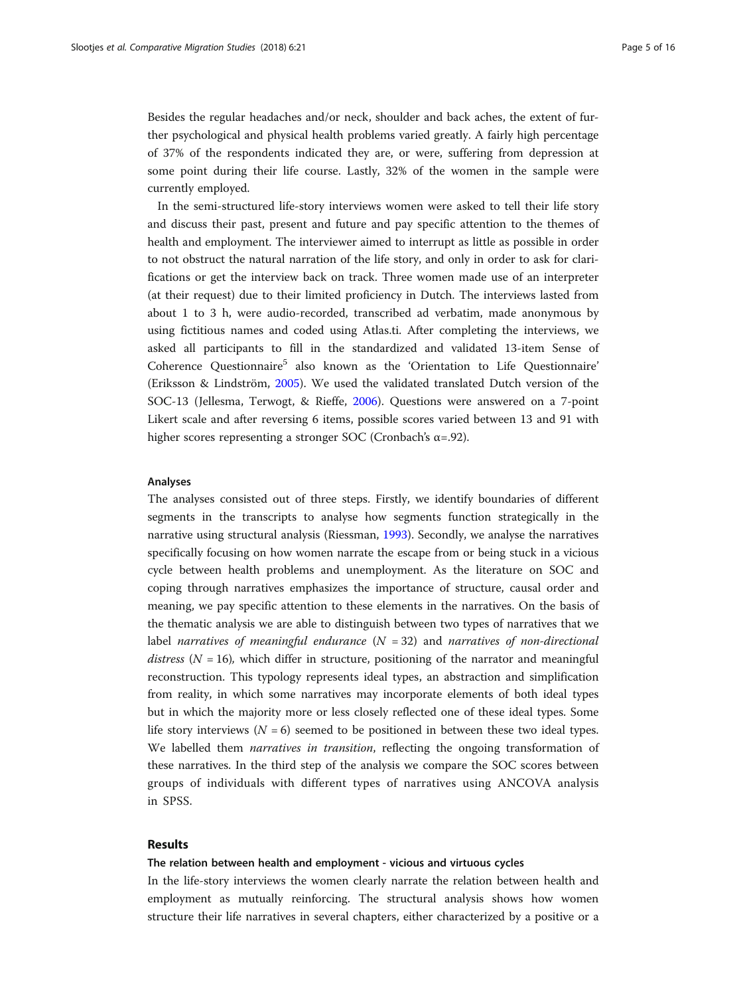Besides the regular headaches and/or neck, shoulder and back aches, the extent of further psychological and physical health problems varied greatly. A fairly high percentage of 37% of the respondents indicated they are, or were, suffering from depression at some point during their life course. Lastly, 32% of the women in the sample were currently employed.

In the semi-structured life-story interviews women were asked to tell their life story and discuss their past, present and future and pay specific attention to the themes of health and employment. The interviewer aimed to interrupt as little as possible in order to not obstruct the natural narration of the life story, and only in order to ask for clarifications or get the interview back on track. Three women made use of an interpreter (at their request) due to their limited proficiency in Dutch. The interviews lasted from about 1 to 3 h, were audio-recorded, transcribed ad verbatim, made anonymous by using fictitious names and coded using Atlas.ti. After completing the interviews, we asked all participants to fill in the standardized and validated 13-item Sense of Coherence Questionnaire<sup>5</sup> also known as the 'Orientation to Life Questionnaire' (Eriksson & Lindström, [2005\)](#page-14-0). We used the validated translated Dutch version of the SOC-13 (Jellesma, Terwogt, & Rieffe, [2006](#page-14-0)). Questions were answered on a 7-point Likert scale and after reversing 6 items, possible scores varied between 13 and 91 with higher scores representing a stronger SOC (Cronbach's α=.92).

#### Analyses

The analyses consisted out of three steps. Firstly, we identify boundaries of different segments in the transcripts to analyse how segments function strategically in the narrative using structural analysis (Riessman, [1993\)](#page-15-0). Secondly, we analyse the narratives specifically focusing on how women narrate the escape from or being stuck in a vicious cycle between health problems and unemployment. As the literature on SOC and coping through narratives emphasizes the importance of structure, causal order and meaning, we pay specific attention to these elements in the narratives. On the basis of the thematic analysis we are able to distinguish between two types of narratives that we label narratives of meaningful endurance  $(N = 32)$  and narratives of non-directional distress ( $N = 16$ ), which differ in structure, positioning of the narrator and meaningful reconstruction. This typology represents ideal types, an abstraction and simplification from reality, in which some narratives may incorporate elements of both ideal types but in which the majority more or less closely reflected one of these ideal types. Some life story interviews  $(N = 6)$  seemed to be positioned in between these two ideal types. We labelled them narratives in transition, reflecting the ongoing transformation of these narratives. In the third step of the analysis we compare the SOC scores between groups of individuals with different types of narratives using ANCOVA analysis in SPSS.

### Results

### The relation between health and employment - vicious and virtuous cycles

In the life-story interviews the women clearly narrate the relation between health and employment as mutually reinforcing. The structural analysis shows how women structure their life narratives in several chapters, either characterized by a positive or a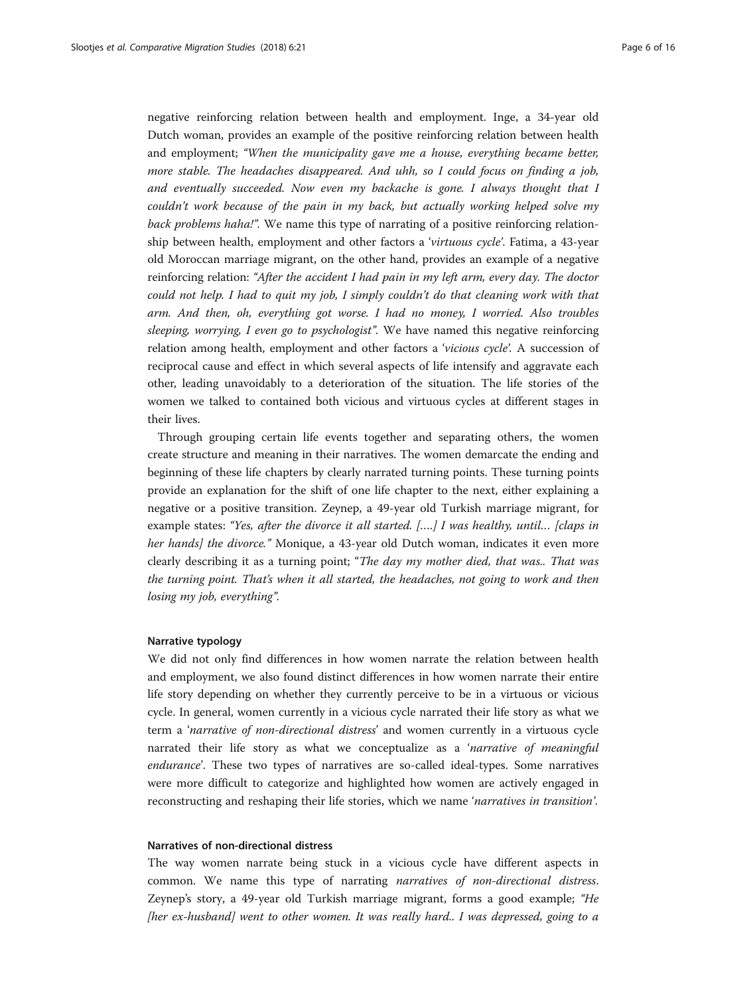negative reinforcing relation between health and employment. Inge, a 34-year old Dutch woman, provides an example of the positive reinforcing relation between health and employment; "When the municipality gave me a house, everything became better, more stable. The headaches disappeared. And uhh, so I could focus on finding a job, and eventually succeeded. Now even my backache is gone. I always thought that I couldn't work because of the pain in my back, but actually working helped solve my back problems haha!". We name this type of narrating of a positive reinforcing relationship between health, employment and other factors a 'virtuous cycle'. Fatima, a 43-year old Moroccan marriage migrant, on the other hand, provides an example of a negative reinforcing relation: "After the accident I had pain in my left arm, every day. The doctor could not help. I had to quit my job, I simply couldn't do that cleaning work with that arm. And then, oh, everything got worse. I had no money, I worried. Also troubles sleeping, worrying, I even go to psychologist". We have named this negative reinforcing relation among health, employment and other factors a 'vicious cycle'. A succession of reciprocal cause and effect in which several aspects of life intensify and aggravate each other, leading unavoidably to a deterioration of the situation. The life stories of the women we talked to contained both vicious and virtuous cycles at different stages in their lives.

Through grouping certain life events together and separating others, the women create structure and meaning in their narratives. The women demarcate the ending and beginning of these life chapters by clearly narrated turning points. These turning points provide an explanation for the shift of one life chapter to the next, either explaining a negative or a positive transition. Zeynep, a 49-year old Turkish marriage migrant, for example states: "Yes, after the divorce it all started. [....] I was healthy, until... [claps in her hands] the divorce." Monique, a 43-year old Dutch woman, indicates it even more clearly describing it as a turning point; "The day my mother died, that was.. That was the turning point. That's when it all started, the headaches, not going to work and then losing my job, everything".

### Narrative typology

We did not only find differences in how women narrate the relation between health and employment, we also found distinct differences in how women narrate their entire life story depending on whether they currently perceive to be in a virtuous or vicious cycle. In general, women currently in a vicious cycle narrated their life story as what we term a 'narrative of non-directional distress' and women currently in a virtuous cycle narrated their life story as what we conceptualize as a 'narrative of meaningful endurance'. These two types of narratives are so-called ideal-types. Some narratives were more difficult to categorize and highlighted how women are actively engaged in reconstructing and reshaping their life stories, which we name 'narratives in transition'.

### Narratives of non-directional distress

The way women narrate being stuck in a vicious cycle have different aspects in common. We name this type of narrating narratives of non-directional distress. Zeynep's story, a 49-year old Turkish marriage migrant, forms a good example; "He [her ex-husband] went to other women. It was really hard.. I was depressed, going to a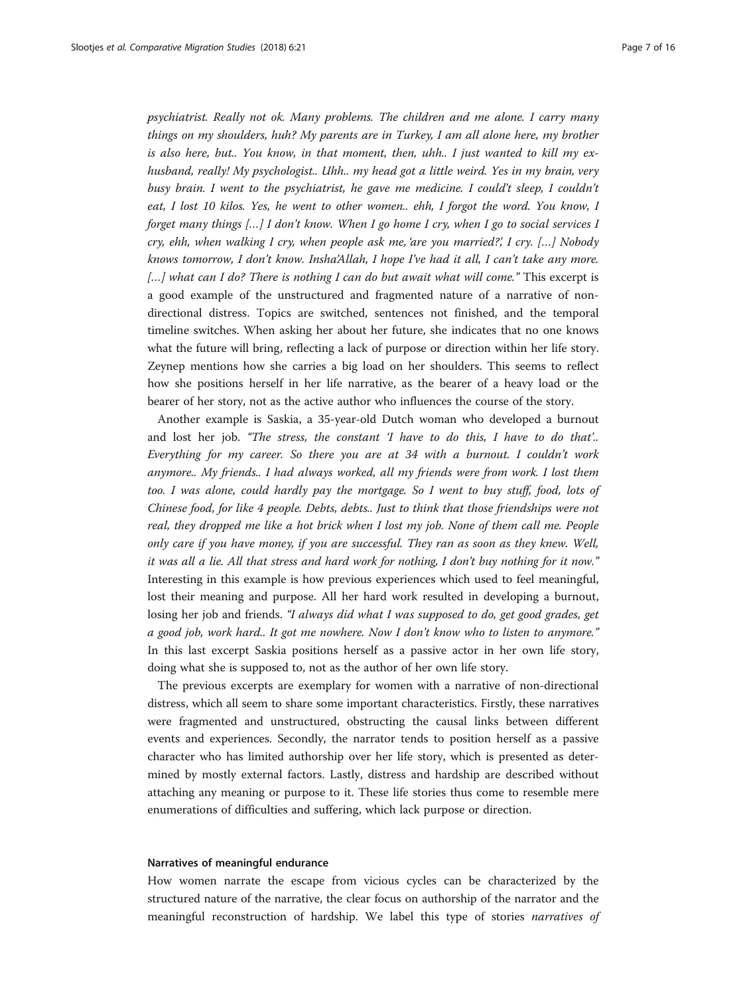psychiatrist. Really not ok. Many problems. The children and me alone. I carry many things on my shoulders, huh? My parents are in Turkey, I am all alone here, my brother is also here, but.. You know, in that moment, then, uhh.. I just wanted to kill my exhusband, really! My psychologist.. Uhh.. my head got a little weird. Yes in my brain, very busy brain. I went to the psychiatrist, he gave me medicine. I could't sleep, I couldn't eat, I lost 10 kilos. Yes, he went to other women.. ehh, I forgot the word. You know, I forget many things […] I don't know. When I go home I cry, when I go to social services I cry, ehh, when walking I cry, when people ask me, 'are you married?', I cry. […] Nobody knows tomorrow, I don't know. Insha'Allah, I hope I've had it all, I can't take any more. [...] what can I do? There is nothing I can do but await what will come." This excerpt is a good example of the unstructured and fragmented nature of a narrative of nondirectional distress. Topics are switched, sentences not finished, and the temporal timeline switches. When asking her about her future, she indicates that no one knows what the future will bring, reflecting a lack of purpose or direction within her life story. Zeynep mentions how she carries a big load on her shoulders. This seems to reflect how she positions herself in her life narrative, as the bearer of a heavy load or the bearer of her story, not as the active author who influences the course of the story.

Another example is Saskia, a 35-year-old Dutch woman who developed a burnout and lost her job. "The stress, the constant 'I have to do this, I have to do that'.. Everything for my career. So there you are at 34 with a burnout. I couldn't work anymore.. My friends.. I had always worked, all my friends were from work. I lost them too. I was alone, could hardly pay the mortgage. So I went to buy stuff, food, lots of Chinese food, for like 4 people. Debts, debts.. Just to think that those friendships were not real, they dropped me like a hot brick when I lost my job. None of them call me. People only care if you have money, if you are successful. They ran as soon as they knew. Well, it was all a lie. All that stress and hard work for nothing, I don't buy nothing for it now." Interesting in this example is how previous experiences which used to feel meaningful, lost their meaning and purpose. All her hard work resulted in developing a burnout, losing her job and friends. "I always did what I was supposed to do, get good grades, get a good job, work hard.. It got me nowhere. Now I don't know who to listen to anymore." In this last excerpt Saskia positions herself as a passive actor in her own life story, doing what she is supposed to, not as the author of her own life story.

The previous excerpts are exemplary for women with a narrative of non-directional distress, which all seem to share some important characteristics. Firstly, these narratives were fragmented and unstructured, obstructing the causal links between different events and experiences. Secondly, the narrator tends to position herself as a passive character who has limited authorship over her life story, which is presented as determined by mostly external factors. Lastly, distress and hardship are described without attaching any meaning or purpose to it. These life stories thus come to resemble mere enumerations of difficulties and suffering, which lack purpose or direction.

#### Narratives of meaningful endurance

How women narrate the escape from vicious cycles can be characterized by the structured nature of the narrative, the clear focus on authorship of the narrator and the meaningful reconstruction of hardship. We label this type of stories narratives of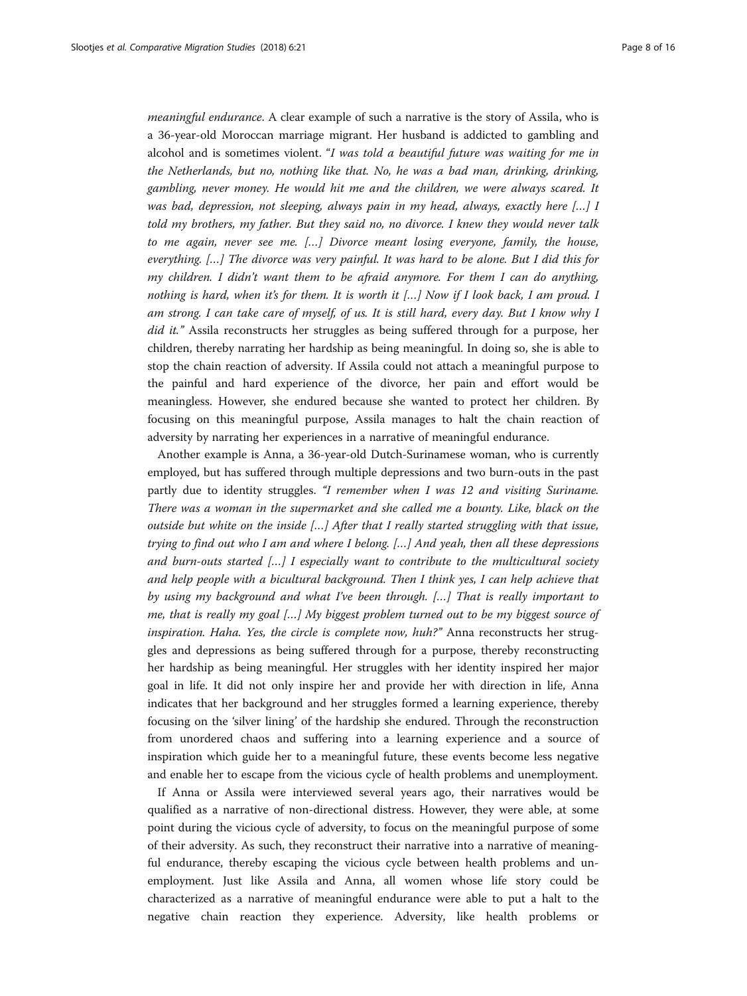meaningful endurance. A clear example of such a narrative is the story of Assila, who is a 36-year-old Moroccan marriage migrant. Her husband is addicted to gambling and alcohol and is sometimes violent. "I was told a beautiful future was waiting for me in the Netherlands, but no, nothing like that. No, he was a bad man, drinking, drinking, gambling, never money. He would hit me and the children, we were always scared. It was bad, depression, not sleeping, always pain in my head, always, exactly here […] I told my brothers, my father. But they said no, no divorce. I knew they would never talk to me again, never see me. […] Divorce meant losing everyone, family, the house, everything. […] The divorce was very painful. It was hard to be alone. But I did this for my children. I didn't want them to be afraid anymore. For them I can do anything, nothing is hard, when it's for them. It is worth it […] Now if I look back, I am proud. I am strong. I can take care of myself, of us. It is still hard, every day. But I know why I did it." Assila reconstructs her struggles as being suffered through for a purpose, her children, thereby narrating her hardship as being meaningful. In doing so, she is able to stop the chain reaction of adversity. If Assila could not attach a meaningful purpose to the painful and hard experience of the divorce, her pain and effort would be meaningless. However, she endured because she wanted to protect her children. By focusing on this meaningful purpose, Assila manages to halt the chain reaction of adversity by narrating her experiences in a narrative of meaningful endurance.

Another example is Anna, a 36-year-old Dutch-Surinamese woman, who is currently employed, but has suffered through multiple depressions and two burn-outs in the past partly due to identity struggles. "I remember when I was 12 and visiting Suriname. There was a woman in the supermarket and she called me a bounty. Like, black on the outside but white on the inside […] After that I really started struggling with that issue, trying to find out who I am and where I belong. […] And yeah, then all these depressions and burn-outs started  $\left[\ldots\right]$  I especially want to contribute to the multicultural society and help people with a bicultural background. Then I think yes, I can help achieve that by using my background and what I've been through. […] That is really important to me, that is really my goal […] My biggest problem turned out to be my biggest source of inspiration. Haha. Yes, the circle is complete now, huh?" Anna reconstructs her struggles and depressions as being suffered through for a purpose, thereby reconstructing her hardship as being meaningful. Her struggles with her identity inspired her major goal in life. It did not only inspire her and provide her with direction in life, Anna indicates that her background and her struggles formed a learning experience, thereby focusing on the 'silver lining' of the hardship she endured. Through the reconstruction from unordered chaos and suffering into a learning experience and a source of inspiration which guide her to a meaningful future, these events become less negative and enable her to escape from the vicious cycle of health problems and unemployment.

If Anna or Assila were interviewed several years ago, their narratives would be qualified as a narrative of non-directional distress. However, they were able, at some point during the vicious cycle of adversity, to focus on the meaningful purpose of some of their adversity. As such, they reconstruct their narrative into a narrative of meaningful endurance, thereby escaping the vicious cycle between health problems and unemployment. Just like Assila and Anna, all women whose life story could be characterized as a narrative of meaningful endurance were able to put a halt to the negative chain reaction they experience. Adversity, like health problems or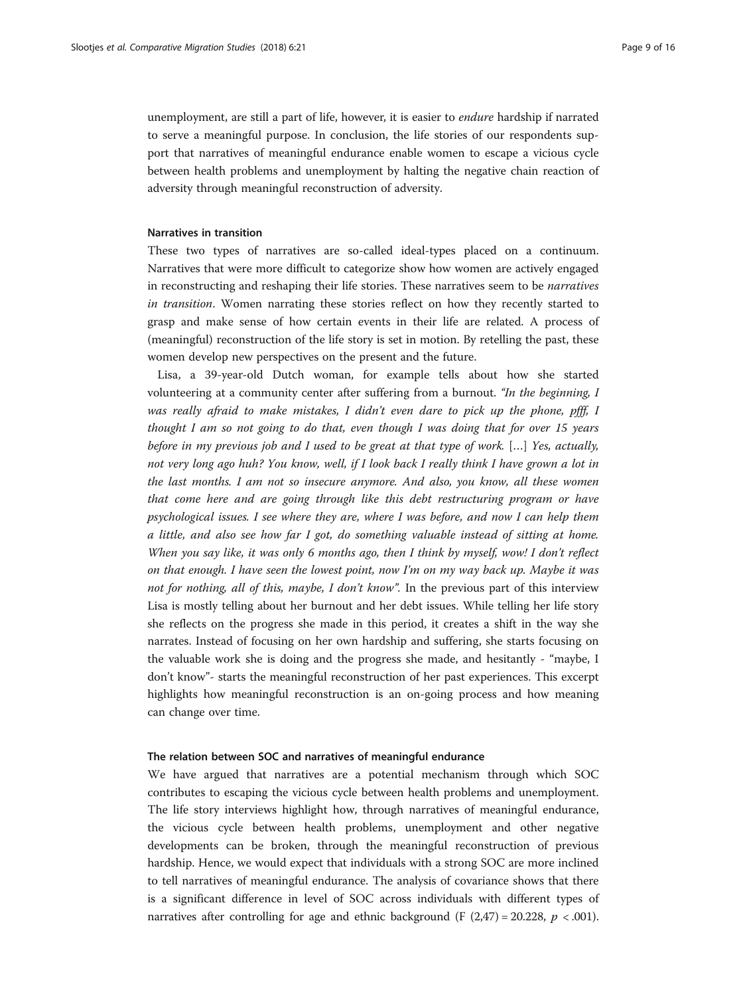unemployment, are still a part of life, however, it is easier to endure hardship if narrated to serve a meaningful purpose. In conclusion, the life stories of our respondents support that narratives of meaningful endurance enable women to escape a vicious cycle between health problems and unemployment by halting the negative chain reaction of adversity through meaningful reconstruction of adversity.

### Narratives in transition

These two types of narratives are so-called ideal-types placed on a continuum. Narratives that were more difficult to categorize show how women are actively engaged in reconstructing and reshaping their life stories. These narratives seem to be narratives in transition. Women narrating these stories reflect on how they recently started to grasp and make sense of how certain events in their life are related. A process of (meaningful) reconstruction of the life story is set in motion. By retelling the past, these women develop new perspectives on the present and the future.

Lisa, a 39-year-old Dutch woman, for example tells about how she started volunteering at a community center after suffering from a burnout. "In the beginning, I was really afraid to make mistakes, I didn't even dare to pick up the phone, pfff, I thought I am so not going to do that, even though I was doing that for over 15 years before in my previous job and I used to be great at that type of work. […] Yes, actually, not very long ago huh? You know, well, if I look back I really think I have grown a lot in the last months. I am not so insecure anymore. And also, you know, all these women that come here and are going through like this debt restructuring program or have psychological issues. I see where they are, where I was before, and now I can help them a little, and also see how far I got, do something valuable instead of sitting at home. When you say like, it was only 6 months ago, then I think by myself, wow! I don't reflect on that enough. I have seen the lowest point, now I'm on my way back up. Maybe it was not for nothing, all of this, maybe, I don't know". In the previous part of this interview Lisa is mostly telling about her burnout and her debt issues. While telling her life story she reflects on the progress she made in this period, it creates a shift in the way she narrates. Instead of focusing on her own hardship and suffering, she starts focusing on the valuable work she is doing and the progress she made, and hesitantly - "maybe, I don't know"- starts the meaningful reconstruction of her past experiences. This excerpt highlights how meaningful reconstruction is an on-going process and how meaning can change over time.

### The relation between SOC and narratives of meaningful endurance

We have argued that narratives are a potential mechanism through which SOC contributes to escaping the vicious cycle between health problems and unemployment. The life story interviews highlight how, through narratives of meaningful endurance, the vicious cycle between health problems, unemployment and other negative developments can be broken, through the meaningful reconstruction of previous hardship. Hence, we would expect that individuals with a strong SOC are more inclined to tell narratives of meaningful endurance. The analysis of covariance shows that there is a significant difference in level of SOC across individuals with different types of narratives after controlling for age and ethnic background (F  $(2,47) = 20.228$ ,  $p < .001$ ).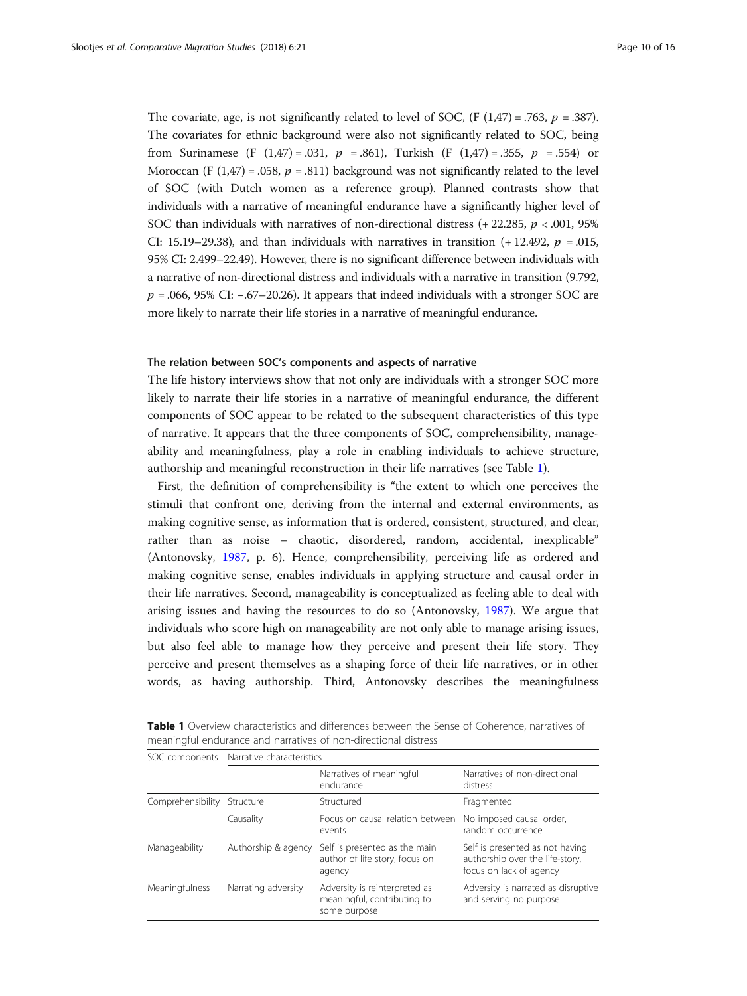<span id="page-9-0"></span>The covariate, age, is not significantly related to level of SOC,  $(F(1,47) = .763, p = .387)$ . The covariates for ethnic background were also not significantly related to SOC, being from Surinamese (F  $(1,47) = .031$ ,  $p = .861$ ), Turkish (F  $(1,47) = .355$ ,  $p = .554$ ) or Moroccan (F  $(1,47) = .058$ ,  $p = .811$ ) background was not significantly related to the level of SOC (with Dutch women as a reference group). Planned contrasts show that individuals with a narrative of meaningful endurance have a significantly higher level of SOC than individuals with narratives of non-directional distress  $(+ 22.285, p < .001, 95\%)$ CI: 15.19–29.38), and than individuals with narratives in transition  $(+ 12.492, p = .015,$ 95% CI: 2.499–22.49). However, there is no significant difference between individuals with a narrative of non-directional distress and individuals with a narrative in transition (9.792,  $p = .066$ , 95% CI:  $-.67-20.26$ ). It appears that indeed individuals with a stronger SOC are more likely to narrate their life stories in a narrative of meaningful endurance.

### The relation between SOC's components and aspects of narrative

The life history interviews show that not only are individuals with a stronger SOC more likely to narrate their life stories in a narrative of meaningful endurance, the different components of SOC appear to be related to the subsequent characteristics of this type of narrative. It appears that the three components of SOC, comprehensibility, manageability and meaningfulness, play a role in enabling individuals to achieve structure, authorship and meaningful reconstruction in their life narratives (see Table 1).

First, the definition of comprehensibility is "the extent to which one perceives the stimuli that confront one, deriving from the internal and external environments, as making cognitive sense, as information that is ordered, consistent, structured, and clear, rather than as noise – chaotic, disordered, random, accidental, inexplicable" (Antonovsky, [1987,](#page-14-0) p. 6). Hence, comprehensibility, perceiving life as ordered and making cognitive sense, enables individuals in applying structure and causal order in their life narratives. Second, manageability is conceptualized as feeling able to deal with arising issues and having the resources to do so (Antonovsky, [1987](#page-14-0)). We argue that individuals who score high on manageability are not only able to manage arising issues, but also feel able to manage how they perceive and present their life story. They perceive and present themselves as a shaping force of their life narratives, or in other words, as having authorship. Third, Antonovsky describes the meaningfulness

| SOC components    | Narrative characteristics |                                                                              |                                                                                               |
|-------------------|---------------------------|------------------------------------------------------------------------------|-----------------------------------------------------------------------------------------------|
|                   |                           | Narratives of meaningful<br>endurance                                        | Narratives of non-directional<br>distress                                                     |
| Comprehensibility | Structure                 | Structured                                                                   | Fragmented                                                                                    |
|                   | Causality                 | Focus on causal relation between<br>events                                   | No imposed causal order,<br>random occurrence                                                 |
| Manageability     | Authorship & agency       | Self is presented as the main<br>author of life story, focus on<br>agency    | Self is presented as not having<br>authorship over the life-story,<br>focus on lack of agency |
| Meaningfulness    | Narrating adversity       | Adversity is reinterpreted as<br>meaningful, contributing to<br>some purpose | Adversity is narrated as disruptive<br>and serving no purpose                                 |

Table 1 Overview characteristics and differences between the Sense of Coherence, narratives of meaningful endurance and narratives of non-directional distress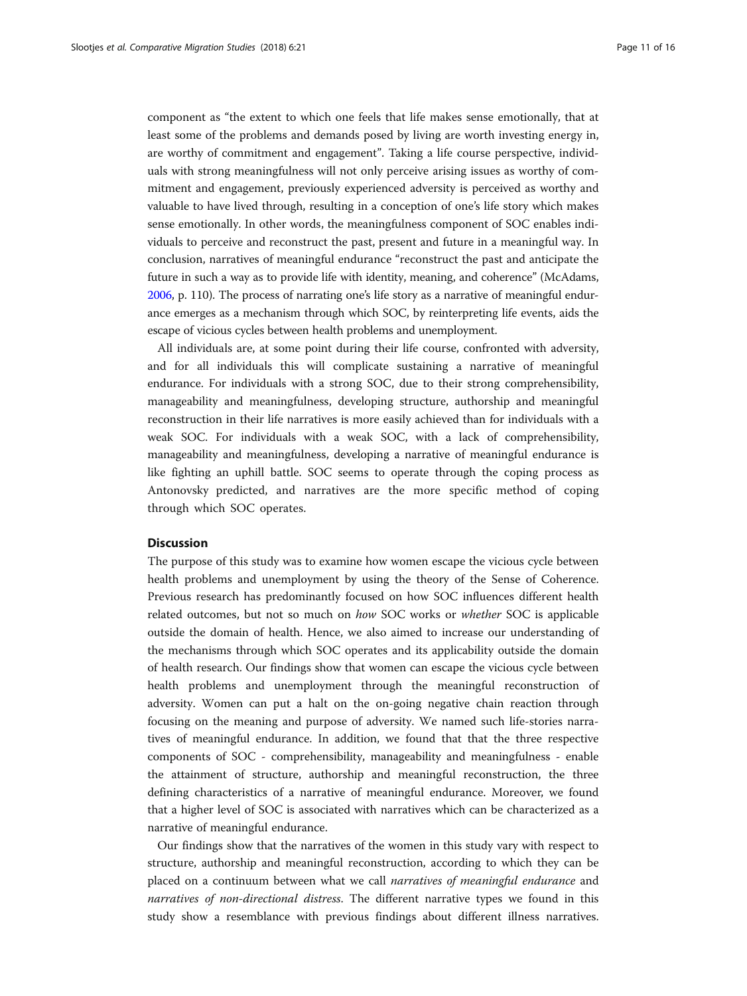component as "the extent to which one feels that life makes sense emotionally, that at least some of the problems and demands posed by living are worth investing energy in, are worthy of commitment and engagement". Taking a life course perspective, individuals with strong meaningfulness will not only perceive arising issues as worthy of commitment and engagement, previously experienced adversity is perceived as worthy and valuable to have lived through, resulting in a conception of one's life story which makes sense emotionally. In other words, the meaningfulness component of SOC enables individuals to perceive and reconstruct the past, present and future in a meaningful way. In conclusion, narratives of meaningful endurance "reconstruct the past and anticipate the future in such a way as to provide life with identity, meaning, and coherence" (McAdams, [2006,](#page-14-0) p. 110). The process of narrating one's life story as a narrative of meaningful endurance emerges as a mechanism through which SOC, by reinterpreting life events, aids the escape of vicious cycles between health problems and unemployment.

All individuals are, at some point during their life course, confronted with adversity, and for all individuals this will complicate sustaining a narrative of meaningful endurance. For individuals with a strong SOC, due to their strong comprehensibility, manageability and meaningfulness, developing structure, authorship and meaningful reconstruction in their life narratives is more easily achieved than for individuals with a weak SOC. For individuals with a weak SOC, with a lack of comprehensibility, manageability and meaningfulness, developing a narrative of meaningful endurance is like fighting an uphill battle. SOC seems to operate through the coping process as Antonovsky predicted, and narratives are the more specific method of coping through which SOC operates.

### **Discussion**

The purpose of this study was to examine how women escape the vicious cycle between health problems and unemployment by using the theory of the Sense of Coherence. Previous research has predominantly focused on how SOC influences different health related outcomes, but not so much on how SOC works or whether SOC is applicable outside the domain of health. Hence, we also aimed to increase our understanding of the mechanisms through which SOC operates and its applicability outside the domain of health research. Our findings show that women can escape the vicious cycle between health problems and unemployment through the meaningful reconstruction of adversity. Women can put a halt on the on-going negative chain reaction through focusing on the meaning and purpose of adversity. We named such life-stories narratives of meaningful endurance. In addition, we found that that the three respective components of SOC - comprehensibility, manageability and meaningfulness - enable the attainment of structure, authorship and meaningful reconstruction, the three defining characteristics of a narrative of meaningful endurance. Moreover, we found that a higher level of SOC is associated with narratives which can be characterized as a narrative of meaningful endurance.

Our findings show that the narratives of the women in this study vary with respect to structure, authorship and meaningful reconstruction, according to which they can be placed on a continuum between what we call narratives of meaningful endurance and narratives of non-directional distress. The different narrative types we found in this study show a resemblance with previous findings about different illness narratives.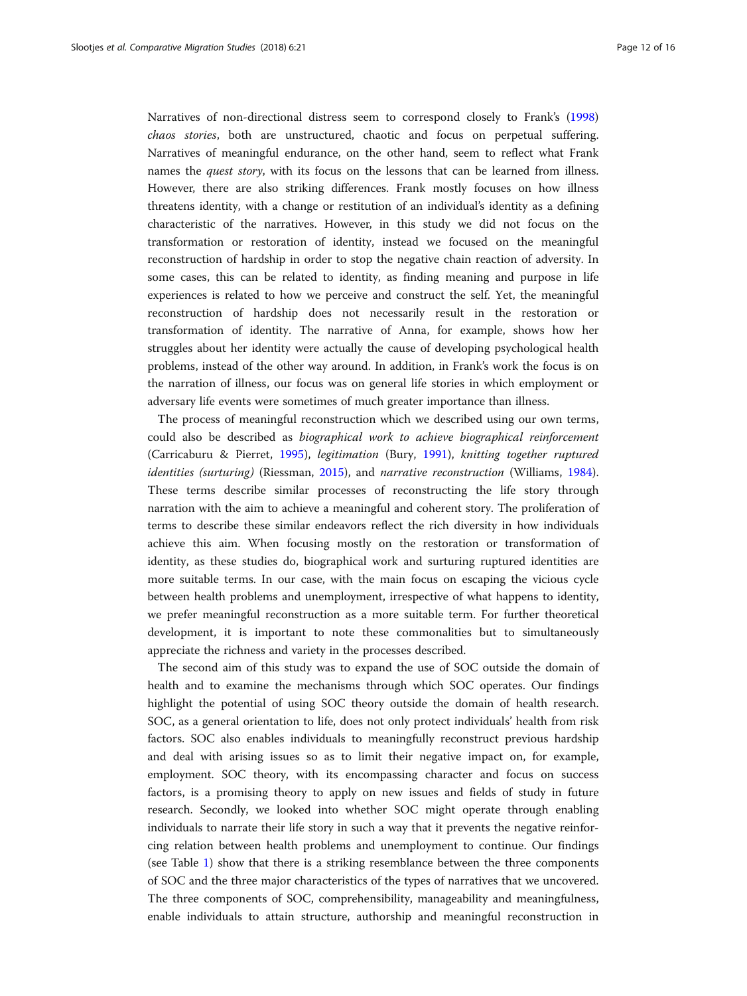Narratives of non-directional distress seem to correspond closely to Frank's ([1998](#page-14-0)) chaos stories, both are unstructured, chaotic and focus on perpetual suffering. Narratives of meaningful endurance, on the other hand, seem to reflect what Frank names the *quest story*, with its focus on the lessons that can be learned from illness. However, there are also striking differences. Frank mostly focuses on how illness threatens identity, with a change or restitution of an individual's identity as a defining characteristic of the narratives. However, in this study we did not focus on the transformation or restoration of identity, instead we focused on the meaningful reconstruction of hardship in order to stop the negative chain reaction of adversity. In some cases, this can be related to identity, as finding meaning and purpose in life experiences is related to how we perceive and construct the self. Yet, the meaningful reconstruction of hardship does not necessarily result in the restoration or transformation of identity. The narrative of Anna, for example, shows how her struggles about her identity were actually the cause of developing psychological health problems, instead of the other way around. In addition, in Frank's work the focus is on the narration of illness, our focus was on general life stories in which employment or adversary life events were sometimes of much greater importance than illness.

The process of meaningful reconstruction which we described using our own terms, could also be described as biographical work to achieve biographical reinforcement (Carricaburu & Pierret, [1995\)](#page-14-0), legitimation (Bury, [1991\)](#page-14-0), knitting together ruptured identities (surturing) (Riessman, [2015](#page-15-0)), and narrative reconstruction (Williams, [1984](#page-15-0)). These terms describe similar processes of reconstructing the life story through narration with the aim to achieve a meaningful and coherent story. The proliferation of terms to describe these similar endeavors reflect the rich diversity in how individuals achieve this aim. When focusing mostly on the restoration or transformation of identity, as these studies do, biographical work and surturing ruptured identities are more suitable terms. In our case, with the main focus on escaping the vicious cycle between health problems and unemployment, irrespective of what happens to identity, we prefer meaningful reconstruction as a more suitable term. For further theoretical development, it is important to note these commonalities but to simultaneously appreciate the richness and variety in the processes described.

The second aim of this study was to expand the use of SOC outside the domain of health and to examine the mechanisms through which SOC operates. Our findings highlight the potential of using SOC theory outside the domain of health research. SOC, as a general orientation to life, does not only protect individuals' health from risk factors. SOC also enables individuals to meaningfully reconstruct previous hardship and deal with arising issues so as to limit their negative impact on, for example, employment. SOC theory, with its encompassing character and focus on success factors, is a promising theory to apply on new issues and fields of study in future research. Secondly, we looked into whether SOC might operate through enabling individuals to narrate their life story in such a way that it prevents the negative reinforcing relation between health problems and unemployment to continue. Our findings (see Table [1\)](#page-9-0) show that there is a striking resemblance between the three components of SOC and the three major characteristics of the types of narratives that we uncovered. The three components of SOC, comprehensibility, manageability and meaningfulness, enable individuals to attain structure, authorship and meaningful reconstruction in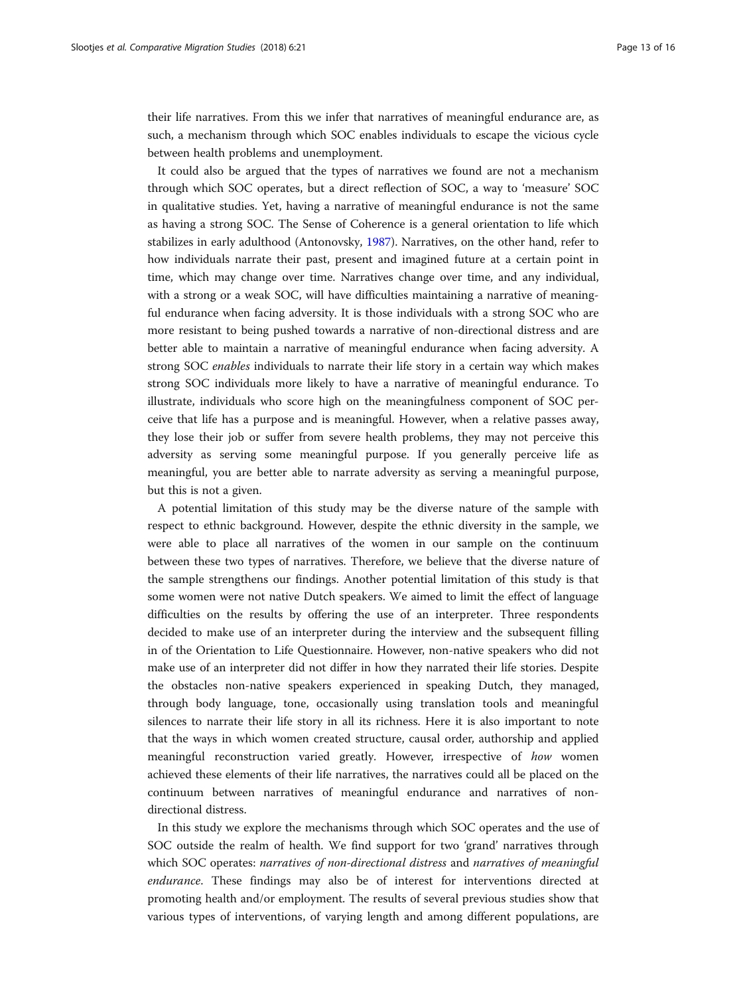their life narratives. From this we infer that narratives of meaningful endurance are, as such, a mechanism through which SOC enables individuals to escape the vicious cycle between health problems and unemployment.

It could also be argued that the types of narratives we found are not a mechanism through which SOC operates, but a direct reflection of SOC, a way to 'measure' SOC in qualitative studies. Yet, having a narrative of meaningful endurance is not the same as having a strong SOC. The Sense of Coherence is a general orientation to life which stabilizes in early adulthood (Antonovsky, [1987\)](#page-14-0). Narratives, on the other hand, refer to how individuals narrate their past, present and imagined future at a certain point in time, which may change over time. Narratives change over time, and any individual, with a strong or a weak SOC, will have difficulties maintaining a narrative of meaningful endurance when facing adversity. It is those individuals with a strong SOC who are more resistant to being pushed towards a narrative of non-directional distress and are better able to maintain a narrative of meaningful endurance when facing adversity. A strong SOC enables individuals to narrate their life story in a certain way which makes strong SOC individuals more likely to have a narrative of meaningful endurance. To illustrate, individuals who score high on the meaningfulness component of SOC perceive that life has a purpose and is meaningful. However, when a relative passes away, they lose their job or suffer from severe health problems, they may not perceive this adversity as serving some meaningful purpose. If you generally perceive life as meaningful, you are better able to narrate adversity as serving a meaningful purpose, but this is not a given.

A potential limitation of this study may be the diverse nature of the sample with respect to ethnic background. However, despite the ethnic diversity in the sample, we were able to place all narratives of the women in our sample on the continuum between these two types of narratives. Therefore, we believe that the diverse nature of the sample strengthens our findings. Another potential limitation of this study is that some women were not native Dutch speakers. We aimed to limit the effect of language difficulties on the results by offering the use of an interpreter. Three respondents decided to make use of an interpreter during the interview and the subsequent filling in of the Orientation to Life Questionnaire. However, non-native speakers who did not make use of an interpreter did not differ in how they narrated their life stories. Despite the obstacles non-native speakers experienced in speaking Dutch, they managed, through body language, tone, occasionally using translation tools and meaningful silences to narrate their life story in all its richness. Here it is also important to note that the ways in which women created structure, causal order, authorship and applied meaningful reconstruction varied greatly. However, irrespective of how women achieved these elements of their life narratives, the narratives could all be placed on the continuum between narratives of meaningful endurance and narratives of nondirectional distress.

In this study we explore the mechanisms through which SOC operates and the use of SOC outside the realm of health. We find support for two 'grand' narratives through which SOC operates: narratives of non-directional distress and narratives of meaningful endurance. These findings may also be of interest for interventions directed at promoting health and/or employment. The results of several previous studies show that various types of interventions, of varying length and among different populations, are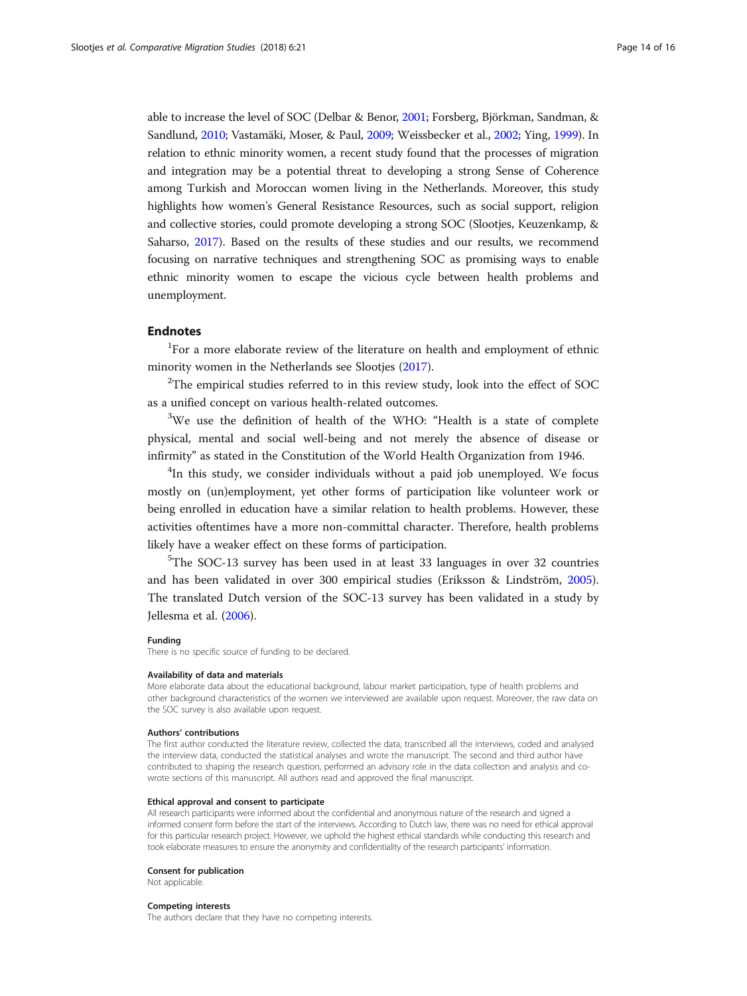able to increase the level of SOC (Delbar & Benor, [2001;](#page-14-0) Forsberg, Björkman, Sandman, & Sandlund, [2010;](#page-14-0) Vastamäki, Moser, & Paul, [2009;](#page-15-0) Weissbecker et al., [2002](#page-15-0); Ying, [1999](#page-15-0)). In relation to ethnic minority women, a recent study found that the processes of migration and integration may be a potential threat to developing a strong Sense of Coherence among Turkish and Moroccan women living in the Netherlands. Moreover, this study highlights how women's General Resistance Resources, such as social support, religion and collective stories, could promote developing a strong SOC (Slootjes, Keuzenkamp, & Saharso, [2017](#page-15-0)). Based on the results of these studies and our results, we recommend focusing on narrative techniques and strengthening SOC as promising ways to enable ethnic minority women to escape the vicious cycle between health problems and unemployment.

### Endnotes

<sup>1</sup>For a more elaborate review of the literature on health and employment of ethnic minority women in the Netherlands see Slootjes [\(2017\)](#page-15-0).

 $2$ The empirical studies referred to in this review study, look into the effect of SOC as a unified concept on various health-related outcomes.

<sup>3</sup>We use the definition of health of the WHO: "Health is a state of complete physical, mental and social well-being and not merely the absence of disease or infirmity" as stated in the Constitution of the World Health Organization from 1946.

<sup>4</sup>In this study, we consider individuals without a paid job unemployed. We focus mostly on (un)employment, yet other forms of participation like volunteer work or being enrolled in education have a similar relation to health problems. However, these activities oftentimes have a more non-committal character. Therefore, health problems likely have a weaker effect on these forms of participation.

<sup>5</sup>The SOC-13 survey has been used in at least 33 languages in over 32 countries and has been validated in over 300 empirical studies (Eriksson & Lindström, [2005](#page-14-0)). The translated Dutch version of the SOC-13 survey has been validated in a study by Jellesma et al. ([2006](#page-14-0)).

#### Funding

There is no specific source of funding to be declared.

#### Availability of data and materials

More elaborate data about the educational background, labour market participation, type of health problems and other background characteristics of the women we interviewed are available upon request. Moreover, the raw data on the SOC survey is also available upon request.

#### Authors' contributions

The first author conducted the literature review, collected the data, transcribed all the interviews, coded and analysed the interview data, conducted the statistical analyses and wrote the manuscript. The second and third author have contributed to shaping the research question, performed an advisory role in the data collection and analysis and cowrote sections of this manuscript. All authors read and approved the final manuscript.

#### Ethical approval and consent to participate

All research participants were informed about the confidential and anonymous nature of the research and signed a informed consent form before the start of the interviews. According to Dutch law, there was no need for ethical approval for this particular research project. However, we uphold the highest ethical standards while conducting this research and took elaborate measures to ensure the anonymity and confidentiality of the research participants' information.

#### Consent for publication

Not applicable.

#### Competing interests

The authors declare that they have no competing interests.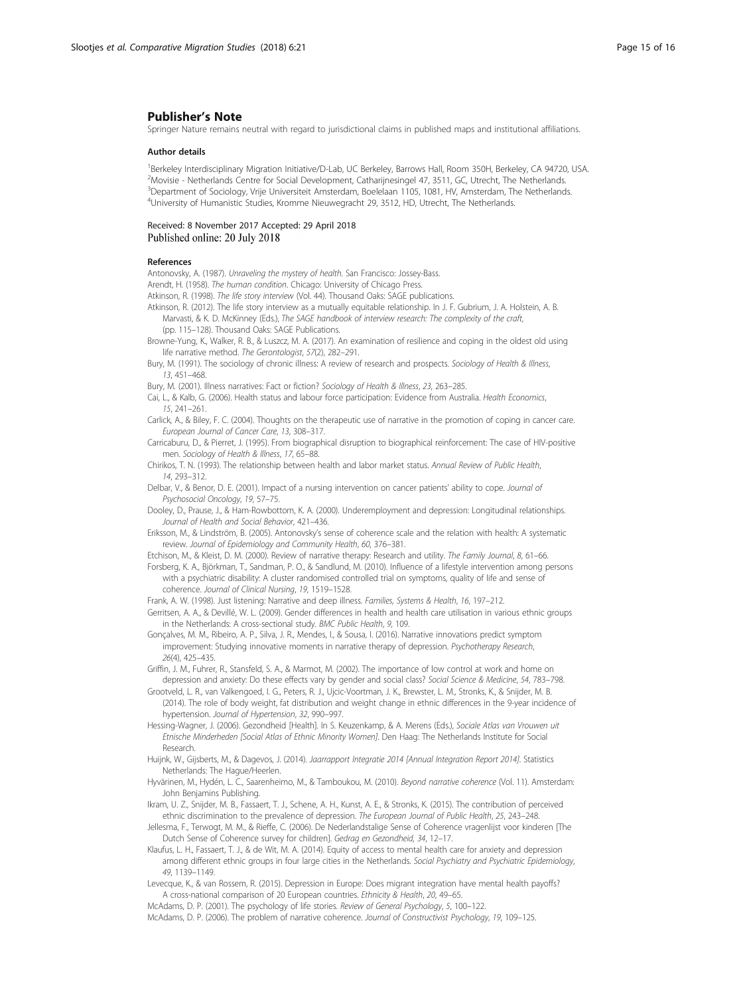### <span id="page-14-0"></span>Publisher's Note

Springer Nature remains neutral with regard to jurisdictional claims in published maps and institutional affiliations.

#### Author details

<sup>1</sup>Berkeley Interdisciplinary Migration Initiative/D-Lab, UC Berkeley, Barrows Hall, Room 350H, Berkeley, CA 94720, USA <sup>2</sup>Movisie - Netherlands Centre for Social Development, Catharijnesingel 47, 3511, GC, Utrecht, The Netherlands. 3 Department of Sociology, Vrije Universiteit Amsterdam, Boelelaan 1105, 1081, HV, Amsterdam, The Netherlands. 4 University of Humanistic Studies, Kromme Nieuwegracht 29, 3512, HD, Utrecht, The Netherlands.

#### Received: 8 November 2017 Accepted: 29 April 2018 Published online: 20 July 2018

#### References

Antonovsky, A. (1987). Unraveling the mystery of health. San Francisco: Jossey-Bass.

- Arendt, H. (1958). The human condition. Chicago: University of Chicago Press.
- Atkinson, R. (1998). The life story interview (Vol. 44). Thousand Oaks: SAGE publications.
- Atkinson, R. (2012). The life story interview as a mutually equitable relationship. In J. F. Gubrium, J. A. Holstein, A. B. Marvasti, & K. D. McKinney (Eds.), The SAGE handbook of interview research: The complexity of the craft,
	- (pp. 115–128). Thousand Oaks: SAGE Publications.
- Browne-Yung, K., Walker, R. B., & Luszcz, M. A. (2017). An examination of resilience and coping in the oldest old using life narrative method. The Gerontologist, 57(2), 282–291.
- Bury, M. (1991). The sociology of chronic illness: A review of research and prospects. Sociology of Health & Illness, 13, 451–468.

Bury, M. (2001). Illness narratives: Fact or fiction? Sociology of Health & Illness, 23, 263-285.

Cai, L., & Kalb, G. (2006). Health status and labour force participation: Evidence from Australia. Health Economics, 15, 241–261.

Carlick, A., & Biley, F. C. (2004). Thoughts on the therapeutic use of narrative in the promotion of coping in cancer care. European Journal of Cancer Care, 13, 308–317.

Carricaburu, D., & Pierret, J. (1995). From biographical disruption to biographical reinforcement: The case of HIV-positive men. Sociology of Health & Illness, 17, 65–88.

Chirikos, T. N. (1993). The relationship between health and labor market status. Annual Review of Public Health, 14, 293–312.

Delbar, V., & Benor, D. E. (2001). Impact of a nursing intervention on cancer patients' ability to cope. Journal of Psychosocial Oncology, 19, 57–75.

- Dooley, D., Prause, J., & Ham-Rowbottom, K. A. (2000). Underemployment and depression: Longitudinal relationships. Journal of Health and Social Behavior, 421–436.
- Eriksson, M., & Lindström, B. (2005). Antonovsky's sense of coherence scale and the relation with health: A systematic review. Journal of Epidemiology and Community Health, 60, 376–381.
- Etchison, M., & Kleist, D. M. (2000). Review of narrative therapy: Research and utility. The Family Journal, 8, 61–66.
- Forsberg, K. A., Björkman, T., Sandman, P. O., & Sandlund, M. (2010). Influence of a lifestyle intervention among persons with a psychiatric disability: A cluster randomised controlled trial on symptoms, quality of life and sense of coherence. Journal of Clinical Nursing, 19, 1519–1528.

Frank, A. W. (1998). Just listening: Narrative and deep illness. Families, Systems & Health, 16, 197-212.

- Gerritsen, A. A., & Devillé, W. L. (2009). Gender differences in health and health care utilisation in various ethnic groups in the Netherlands: A cross-sectional study. BMC Public Health, 9, 109.
- Gonçalves, M. M., Ribeiro, A. P., Silva, J. R., Mendes, I., & Sousa, I. (2016). Narrative innovations predict symptom improvement: Studying innovative moments in narrative therapy of depression. Psychotherapy Research, 26(4), 425–435.
- Griffin, J. M., Fuhrer, R., Stansfeld, S. A., & Marmot, M. (2002). The importance of low control at work and home on depression and anxiety: Do these effects vary by gender and social class? Social Science & Medicine, 54, 783-798.
- Grootveld, L. R., van Valkengoed, I. G., Peters, R. J., Ujcic-Voortman, J. K., Brewster, L. M., Stronks, K., & Snijder, M. B. (2014). The role of body weight, fat distribution and weight change in ethnic differences in the 9-year incidence of hypertension. Journal of Hypertension, 32, 990–997.
- Hessing-Wagner, J. (2006). Gezondheid [Health]. In S. Keuzenkamp, & A. Merens (Eds.), Sociale Atlas van Vrouwen uit Etnische Minderheden [Social Atlas of Ethnic Minority Women]. Den Haag: The Netherlands Institute for Social Research.
- Huijnk, W., Gijsberts, M., & Dagevos, J. (2014). Jaarrapport Integratie 2014 [Annual Integration Report 2014]. Statistics Netherlands: The Hague/Heerlen.
- Hyvärinen, M., Hydén, L. C., Saarenheimo, M., & Tamboukou, M. (2010). Beyond narrative coherence (Vol. 11). Amsterdam: John Benjamins Publishing.
- Ikram, U. Z., Snijder, M. B., Fassaert, T. J., Schene, A. H., Kunst, A. E., & Stronks, K. (2015). The contribution of perceived ethnic discrimination to the prevalence of depression. The European Journal of Public Health, 25, 243–248.
- Jellesma, F., Terwogt, M. M., & Rieffe, C. (2006). De Nederlandstalige Sense of Coherence vragenlijst voor kinderen [The Dutch Sense of Coherence survey for children]. Gedrag en Gezondheid, 34, 12–17.
- Klaufus, L. H., Fassaert, T. J., & de Wit, M. A. (2014). Equity of access to mental health care for anxiety and depression among different ethnic groups in four large cities in the Netherlands. Social Psychiatry and Psychiatric Epidemiology, 49, 1139–1149.
- Levecque, K., & van Rossem, R. (2015). Depression in Europe: Does migrant integration have mental health payoffs? A cross-national comparison of 20 European countries. Ethnicity & Health, 20, 49–65.

McAdams, D. P. (2001). The psychology of life stories. Review of General Psychology, 5, 100–122.

McAdams, D. P. (2006). The problem of narrative coherence. Journal of Constructivist Psychology, 19, 109–125.